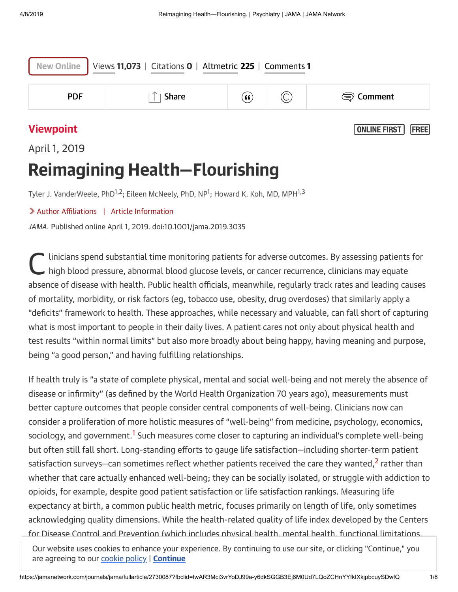<span id="page-0-0"></span>

| <b>New Online</b><br>Views 11,073   Citations 0   Altmetric 225   Comments 1 |              |                            |  |                                        |
|------------------------------------------------------------------------------|--------------|----------------------------|--|----------------------------------------|
| <b>PDF</b>                                                                   | <b>Share</b> | $\left( \mathbf{G}\right)$ |  | $\textcircled{\footnotesize=}$ Comment |
| <b>Viewpoint</b><br><b>ONLINE FIRST</b><br><b>FREE</b>                       |              |                            |  |                                        |

```
April 1, 2019
```
# Reimagining Health—Flourishing

Tyler J. [VanderWeele,](https://jamanetwork.com/searchresults?author=Tyler+J.+VanderWeele&q=Tyler+J.+VanderWeele) PhD<sup>1,2</sup>; Eileen [McNeely,](https://jamanetwork.com/searchresults?author=Eileen+McNeely&q=Eileen+McNeely) PhD, NP<sup>1</sup>; [Howard](https://jamanetwork.com/searchresults?author=Howard+K.+Koh&q=Howard+K.+Koh) K. Koh, MD, MPH<sup>1,3</sup>

Author Affiliations | Article [Information](#page-3-0)

JAMA. Published online April 1, 2019. doi:10.1001/jama.2019.3035

linicians spend substantial time monitoring patients for adverse outcomes. By assessing patients for high blood pressure, abnormal blood glucose levels, or cancer recurrence, clinicians may equate absence of disease with health. Public health officials, meanwhile, regularly track rates and leading causes of mortality, morbidity, or risk factors (eg, tobacco use, obesity, drug overdoses) that similarly apply a "deficits" framework to health. These approaches, while necessary and valuable, can fall short of capturing what is most important to people in their daily lives. A patient cares not only about physical health and test results "within normal limits" but also more broadly about being happy, having meaning and purpose, being "a good person," and having fulfilling relationships.  $C$ 

If health truly is "a state of complete physical, mental and social well-being and not merely the absence of disease or infirmity" (as defined by the World Health Organization 70 years ago), measurements must better capture outcomes that people consider central components of well-being. Clinicians now can consider a proliferation of more holistic measures of "well-being" from medicine, psychology, economics, sociology, and government.<sup>[1](#page-4-0)</sup> Such measures come closer to capturing an individual's complete well-being but often still fall short. Long-standing efforts to gauge life satisfaction—including shorter-term patient satisfaction surveys—can sometimes reflect whether patients received the care they wanted,<sup>[2](#page-4-1)</sup> rather than whether that care actually enhanced well-being; they can be socially isolated, or struggle with addiction to opioids, for example, despite good patient satisfaction or life satisfaction rankings. Measuring life expectancy at birth, a common public health metric, focuses primarily on length of life, only sometimes acknowledging quality dimensions. While the health-related quality of life index developed by the Centers for Disease Control and Prevention (which includes physical health, mental health, functional limitations,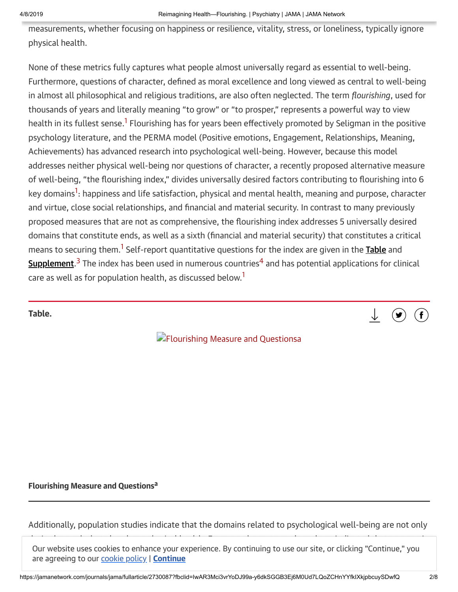measurements, whether focusing on happiness or resilience, vitality, stress, or loneliness, typically ignore physical health.

None of these metrics fully captures what people almost universally regard as essential to well-being. Furthermore, questions of character, defined as moral excellence and long viewed as central to well-being in almost all philosophical and religious traditions, are also often neglected. The term flourishing, used for thousands of years and literally meaning "to grow" or "to prosper," represents a powerful way to view health in its fullest sense.<sup>[1](#page-4-0)</sup> Flourishing has for years been effectively promoted by Seligman in the positive psychology literature, and the PERMA model (Positive emotions, Engagement, Relationships, Meaning, Achievements) has advanced research into psychological well-being. However, because this model addresses neither physical well-being nor questions of character, a recently proposed alternative measure of well-being, "the flourishing index," divides universally desired factors contributing to flourishing into 6 key domains<sup>[1](#page-4-0)</sup>: happiness and life satisfaction, physical and mental health, meaning and purpose, character and virtue, close social relationships, and financial and material security. In contrast to many previously proposed measures that are not as comprehensive, the flourishing index addresses 5 universally desired domains that constitute ends, as well as a sixth (financial and material security) that constitutes a critical means to securing them.<sup>[1](#page-4-0)</sup> Self-report quantitative questions for the index are given in the **[Table](#page-1-0)** and Supplement. [3](#page-4-2) The index has been used in numerous countries [4](#page-4-3) and has potential applications for clinical care as well as for population health, as discussed below.<sup>[1](#page-4-0)</sup>

<span id="page-1-0"></span>Table.  $\qquad \qquad \downarrow \qquad \textcircled{\textcirc} \quad \textcircled{\textcirc} \quad \textcircled{\textcirc}$ 

**E**[Flourishing](https://cdn.jamanetwork.com/ama/content_public/journal/jama/0/jvp190039t1.png?Expires=2147483647&Signature=SEItUbOEirKqx1qnbc3PXH0QBkwsittNe1TxosjvIqEb8qECekNJSzfNNNNgbVEJdq9~vfDXNhwzAGX49-BeeI5yxCA-VtZjlC1OZmBfFF7ko-TFTMVO3K3F9ib~Qi453E2B2bLfteRyIDwbrbJJfrXL0AJIDA5XhGcfHwGxypjtDP7xhZ-k2AyIQkvssVmV0jAzDUNsCp9CNSeUTTnuIAXGh8kgawcYnUvj6n5WXzDwprKFPbq639bpDtL1BOOSAniz2Lbiv57HifGjMyfZRNHjYIPKO4Mpn8ZaT3TAUnk-E5YV6fn21XQZG5cx9AzyBX6ArFyxjmYzGfNG2vKiNQ__&Key-Pair-Id=APKAIE5G5CRDK6RD3PGA) Measure and Questionsa

#### **Flourishing Measure and Questions<sup>a</sup>**

Additionally, population studies indicate that the domains related to psychological well-being are not only desired as ends, but also shape physical health. For example, meta-analyses have indicated that purpose in

Our website uses cookies to enhance your experience. By continuing to use our site, or clicking "Continue," you<br>see associng to survey life as line of Continue are agreeing to our [cookie](https://jamanetwork.com/pages/privacy-policy#cookies) policy | [Continue](javascript:;)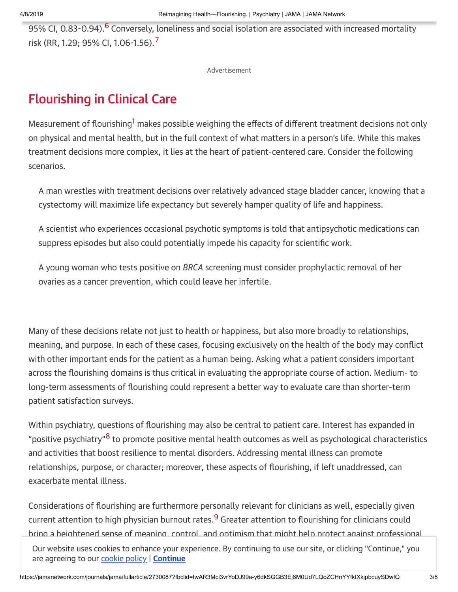95% CI, 0.83-0.94).<sup>[6](#page-4-5)</sup> Conversely, loneliness and social isolation are associated with increased mortality risk (RR, 1.29; 95% CI, 1.06-1.56).<sup>[7](#page-4-6)</sup>

Advertisement

## Flourishing in Clinical Care

Measurement of flourishing<sup>[1](#page-4-0)</sup> makes possible weighing the effects of different treatment decisions not only on physical and mental health, but in the full context of what matters in a person's life. While this makes treatment decisions more complex, it lies at the heart of patient-centered care. Consider the following scenarios.

A man wrestles with treatment decisions over relatively advanced stage bladder cancer, knowing that a cystectomy will maximize life expectancy but severely hamper quality of life and happiness.

A scientist who experiences occasional psychotic symptoms is told that antipsychotic medications can suppress episodes but also could potentially impede his capacity for scientific work.

A young woman who tests positive on BRCA screening must consider prophylactic removal of her ovaries as a cancer prevention, which could leave her infertile.

Many of these decisions relate not just to health or happiness, but also more broadly to relationships, meaning, and purpose. In each of these cases, focusing exclusively on the health of the body may conflict with other important ends for the patient as a human being. Asking what a patient considers important across the flourishing domains is thus critical in evaluating the appropriate course of action. Medium- to long-term assessments of flourishing could represent a better way to evaluate care than shorter-term patient satisfaction surveys.

Within psychiatry, questions of flourishing may also be central to patient care. Interest has expanded in "positive psychiatry"<sup>[8](#page-5-1)</sup> to promote positive mental health outcomes as well as psychological characteristics and activities that boost resilience to mental disorders. Addressing mental illness can promote relationships, purpose, or character; moreover, these aspects of flourishing, if left unaddressed, can exacerbate mental illness.

Considerations of flourishing are furthermore personally relevant for clinicians as well, especially given current attention to high physician burnout rates.<sup>[9](#page-5-2)</sup> Greater attention to flourishing for clinicians could bring a heightened sense of meaning, control, and optimism that might help protect against professional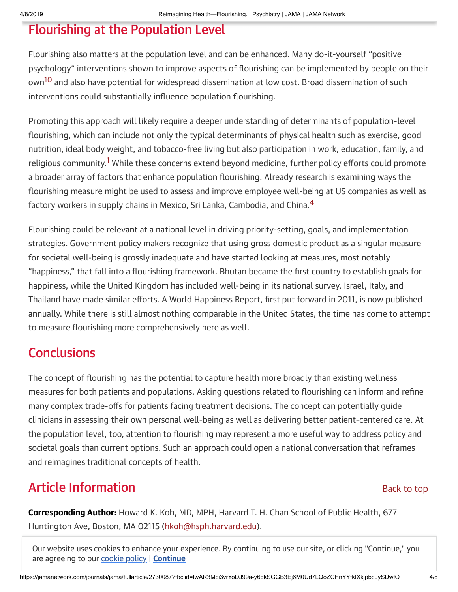## Flourishing at the Population Level

Flourishing also matters at the population level and can be enhanced. Many do-it-yourself "positive psychology" interventions shown to improve aspects of flourishing can be implemented by people on their own<sup>[10](#page-5-3)</sup> and also have potential for widespread dissemination at low cost. Broad dissemination of such interventions could substantially influence population flourishing.

Promoting this approach will likely require a deeper understanding of determinants of population-level flourishing, which can include not only the typical determinants of physical health such as exercise, good nutrition, ideal body weight, and tobacco-free living but also participation in work, education, family, and religious community.<sup>[1](#page-4-0)</sup> While these concerns extend beyond medicine, further policy efforts could promote a broader array of factors that enhance population flourishing. Already research is examining ways the flourishing measure might be used to assess and improve employee well-being at US companies as well as factory workers in supply chains in Mexico, Sri Lanka, Cambodia, and China.<sup>[4](#page-4-3)</sup>

Flourishing could be relevant at a national level in driving priority-setting, goals, and implementation strategies. Government policy makers recognize that using gross domestic product as a singular measure for societal well-being is grossly inadequate and have started looking at measures, most notably "happiness," that fall into a flourishing framework. Bhutan became the first country to establish goals for happiness, while the United Kingdom has included well-being in its national survey. Israel, Italy, and Thailand have made similar efforts. A World Happiness Report, first put forward in 2011, is now published annually. While there is still almost nothing comparable in the United States, the time has come to attempt to measure flourishing more comprehensively here as well.

## **Conclusions**

The concept of flourishing has the potential to capture health more broadly than existing wellness measures for both patients and populations. Asking questions related to flourishing can inform and refine many complex trade-offs for patients facing treatment decisions. The concept can potentially guide clinicians in assessing their own personal well-being as well as delivering better patient-centered care. At the population level, too, attention to flourishing may represent a more useful way to address policy and societal goals than current options. Such an approach could open a national conversation that reframes and reimagines traditional concepts of health.

## <span id="page-3-0"></span>**Article Information** [Back](#page-0-0) to top Back to top

Corresponding Author: Howard K. Koh, MD, MPH, Harvard T. H. Chan School of Public Health, 677 Huntington Ave, Boston, MA 02115 [\(hkoh@hsph.harvard.edu](mailto:hkoh@hsph.harvard.edu)).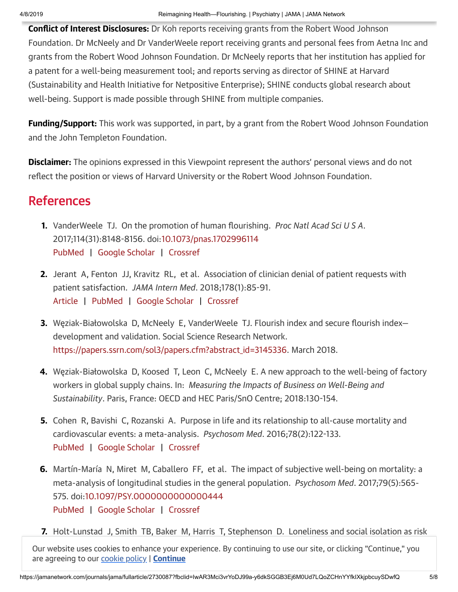**Conflict of Interest Disclosures:** Dr Koh reports receiving grants from the Robert Wood Johnson Foundation. Dr McNeely and Dr VanderWeele report receiving grants and personal fees from Aetna Inc and grants from the Robert Wood Johnson Foundation. Dr McNeely reports that her institution has applied for a patent for a well-being measurement tool; and reports serving as director of SHINE at Harvard (Sustainability and Health Initiative for Netpositive Enterprise); SHINE conducts global research about well-being. Support is made possible through SHINE from multiple companies.

**Funding/Support:** This work was supported, in part, by a grant from the Robert Wood Johnson Foundation and the John Templeton Foundation.

**Disclaimer:** The opinions expressed in this Viewpoint represent the authors' personal views and do not reflect the position or views of Harvard University or the Robert Wood Johnson Foundation.

## References

- <span id="page-4-0"></span>1. VanderWeele TJ. On the promotion of human flourishing. Proc Natl Acad Sci U S A. 2017;114(31):8148-8156. doi:[10.1073/pnas.1702996114](http://dx.doi.org/10.1073/pnas.1702996114) [PubMed](https://www.ncbi.nlm.nih.gov/pubmed/28705870) | Google [Scholar](https://scholar.google.com/scholar_lookup?title=On%20the%20promotion%20of%20human%20flourishing.&author=TJ%20VanderWeele&publication_year=2017&journal=Proc%20Natl%20Acad%20Sci%20U%20S%20A&volume=114&pages=8148-8156) | [Crossref](https://doi.org/10.1073/pnas.1702996114)
- <span id="page-4-1"></span>2. Jerant A, Fenton JJ, Kravitz RL, et al. Association of clinician denial of patient requests with patient satisfaction. JAMA Intern Med. 2018;178(1):85-91. [Article](https://jamanetwork.com/journals/jama/fullarticle/2664068) | [PubMed](https://www.ncbi.nlm.nih.gov/pubmed/29181542) | Google [Scholar](https://scholar.google.com/scholar_lookup?title=Association%20of%20clinician%20denial%20of%20patient%20requests%20with%20patient%20satisfaction.&author=A%20Jerant&author=JJ%20Fenton&author=RL%20Kravitz&publication_year=2018&journal=JAMA%20Intern%20Med&volume=178&pages=85-91) | [Crossref](https://doi.org/10.1001/jamainternmed.2017.6611)
- <span id="page-4-2"></span>3. Węziak-Białowolska D, McNeely E, VanderWeele TJ. Flourish index and secure flourish index development and validation. Social Science Research Network. [https://papers.ssrn.com/sol3/papers.cfm?abstract\\_id=3145336.](https://papers.ssrn.com/sol3/papers.cfm?abstract_id=3145336) March 2018.
- <span id="page-4-3"></span>4. Węziak-Białowolska D, Koosed T, Leon C, McNeely E. A new approach to the well-being of factory workers in global supply chains. In: Measuring the Impacts of Business on Well-Being and Sustainability. Paris, France: OECD and HEC Paris/SnO Centre; 2018:130-154.
- <span id="page-4-4"></span>5. Cohen R, Bavishi C, Rozanski A. Purpose in life and its relationship to all-cause mortality and cardiovascular events: a meta-analysis. Psychosom Med. 2016;78(2):122-133. [PubMed](https://www.ncbi.nlm.nih.gov/pubmed/26630073) | Google [Scholar](https://scholar.google.com/scholar_lookup?title=Purpose%20in%20life%20and%20its%20relationship%20to%20all-cause%20mortality%20and%20cardiovascular%20events%3A%20a%20meta-analysis.&author=R%20Cohen&author=C%20Bavishi&author=A%20Rozanski&publication_year=2016&journal=Psychosom%20Med&volume=78&pages=122-133) | [Crossref](https://doi.org/10.1097/PSY.0000000000000274)
- <span id="page-4-5"></span>6. Martín-María N, Miret M, Caballero FF, et al. The impact of subjective well-being on mortality: a meta-analysis of longitudinal studies in the general population. *Psychosom Med*. 2017;79(5):565-575. doi:[10.1097/PSY.0000000000000444](http://dx.doi.org/10.1097/PSY.0000000000000444) [PubMed](https://www.ncbi.nlm.nih.gov/pubmed/28033196) | Google [Scholar](https://scholar.google.com/scholar_lookup?title=The%20impact%20of%20subjective%20well-being%20on%20mortality%3A%20a%20meta-analysis%20of%20longitudinal%20studies%20in%20the%20general%20population.&author=N%20Mart%C3%ADn-Mar%C3%ADa&author=M%20Miret&author=FF%20Caballero&publication_year=2017&journal=Psychosom%20Med&volume=79&pages=565-575) | [Crossref](https://doi.org/10.1097/PSY.0000000000000444)
- <span id="page-4-6"></span>7. Holt-Lunstad J, Smith TB, Baker M, Harris T, Stephenson D. Loneliness and social isolation as risk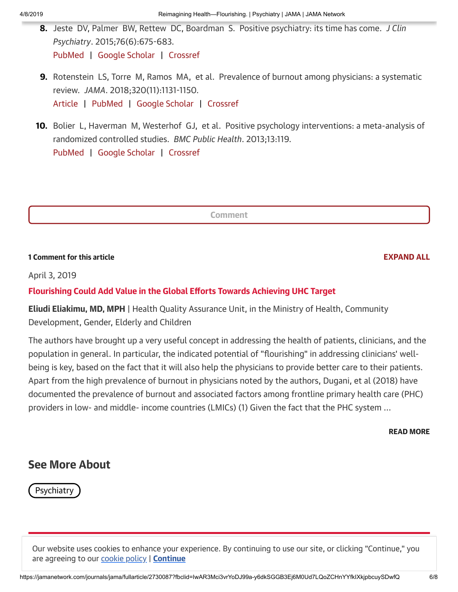- <span id="page-5-1"></span>**8.** Jeste DV, Palmer BW, Rettew DC, Boardman S. Positive psychiatry: its time has come. J Clin Psychiatry. 2015;76(6):675-683. [PubMed](https://www.ncbi.nlm.nih.gov/pubmed/26132670) | Google [Scholar](https://scholar.google.com/scholar_lookup?title=Positive%20psychiatry%3A%20its%20time%20has%20come.&author=DV%20Jeste&author=BW%20Palmer&author=DC%20Rettew&author=S%20Boardman&publication_year=2015&journal=J%20Clin%20Psychiatry&volume=76&pages=675-683) | [Crossref](https://doi.org/10.4088/JCP.14nr09599)
- <span id="page-5-2"></span>9. Rotenstein LS, Torre M, Ramos MA, et al. Prevalence of burnout among physicians: a systematic review. JAMA. 2018;320(11):1131-1150. [Article](https://jamanetwork.com/journals/jama/fullarticle/2702871) | [PubMed](https://www.ncbi.nlm.nih.gov/pubmed/30326495) | Google [Scholar](https://scholar.google.com/scholar_lookup?title=Prevalence%20of%20burnout%20among%20physicians%3A%20a%20systematic%20review.&author=LS%20Rotenstein&author=M%20Torre&author=MA%20Ramos&publication_year=2018&journal=JAMA&volume=320&pages=1131-1150) | [Crossref](https://doi.org/10.1001/jama.2018.12777)
- <span id="page-5-3"></span>10. Bolier L, Haverman M, Westerhof GJ, et al. Positive psychology interventions: a meta-analysis of randomized controlled studies. BMC Public Health. 2013;13:119. [PubMed](https://www.ncbi.nlm.nih.gov/pubmed/23390882) | Google [Scholar](https://scholar.google.com/scholar_lookup?title=Positive%20psychology%20interventions%3A%20a%20meta-analysis%20of%20randomized%20controlled%20studies.&author=L%20Bolier&author=M%20Haverman&author=GJ%20Westerhof&publication_year=2013&journal=BMC%20Public%20Health&volume=13&pages=119) | [Crossref](https://doi.org/10.1186/1471-2458-13-119)

Comment

#### <span id="page-5-0"></span>1 Comment for this article **EXPAND ALL**

April 3, 2019

#### Flourishing Could Add Value in the Global Efforts Towards Achieving UHC Target

Eliudi Eliakimu, MD, MPH | Health Quality Assurance Unit, in the Ministry of Health, Community Development, Gender, Elderly and Children

The authors have brought up a very useful concept in addressing the health of patients, clinicians, and the population in general. In particular, the indicated potential of "flourishing" in addressing clinicians' wellbeing is key, based on the fact that it will also help the physicians to provide better care to their patients. Apart from the high prevalence of burnout in physicians noted by the authors, Dugani, et al (2018) have documented the prevalence of burnout and associated factors among frontline primary health care (PHC) providers in low- and middle- income countries (LMICs) (1) Given the fact that the PHC system ...

#### READ MORE

### See More About

**[Psychiatry](https://jamanetwork.com/collections/5871/psychiatry)**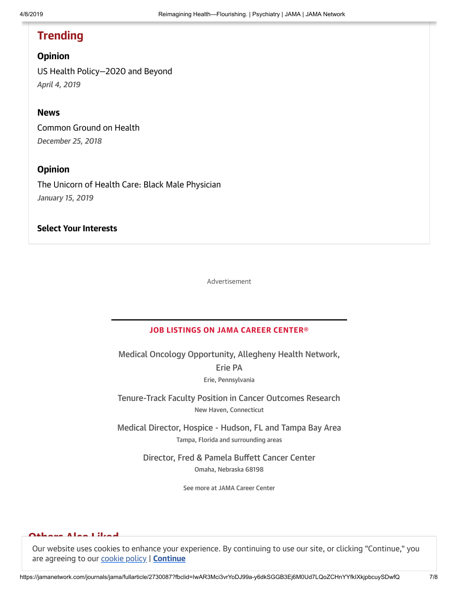## **Trending**

#### **Opinion**

US Health [Policy—2020](https://jamanetwork.com/journals/jama/fullarticle/2730484?widget=personalizedcontent&previousarticle=2730087) and Beyond April 4, 2019

#### News

[Common](https://jamanetwork.com/journals/jama/fullarticle/2719290?widget=personalizedcontent&previousarticle=2730087) Ground on Health December 25, 2018

#### **Opinion**

The Unicorn of Health Care: Black Male [Physician](https://jamanetwork.com/journals/jama/fullarticle/2720731?widget=personalizedcontent&previousarticle=2730087) January 15, 2019

#### Select Your Interests

Advertisement

#### JOB LISTINGS ON JAMA CAREER CENTER®

[Medical Oncology](https://careers.jamanetwork.com/job/110131548/medical-oncology-opportunity-allegheny-health-network-erie-pa/?TrackID=61) Opportunity, Allegheny Health Network, Erie PA Erie, Pennsylvania

[Tenure-Track](https://careers.jamanetwork.com/job/110129938/tenure-track-faculty-position-in-cancer-outcomes-research/?TrackID=61) Faculty Position in Cancer Outcomes Research New Haven, Connecticut

[Medical Director,](https://careers.jamanetwork.com/job/110129805/medical-director-hospice-hudson-fl-and-tampa-bay-area/?TrackID=61) Hospice - Hudson, FL and Tampa Bay Area Tampa, Florida and surrounding areas

> Director, Fred & [Pamela Buffett](https://careers.jamanetwork.com/job/110129247/director-fred-and-pamela-buffett-cancer-center/?TrackID=61) Cancer Center Omaha, Nebraska 68198

> > See more at JAMA Career [Center](https://careers.jamanetwork.com/)

#### Others Also Liked